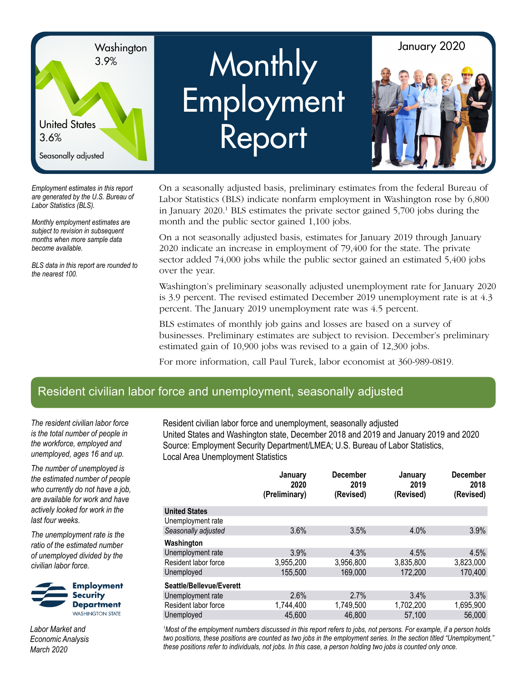

# <sup>3.9%</sup> Monthly **Employment** Report



*Employment estimates in this report are generated by the U.S. Bureau of Labor Statistics (BLS).*

*Monthly employment estimates are subject to revision in subsequent months when more sample data become available.*

*BLS data in this report are rounded to the nearest 100.*

On a seasonally adjusted basis, preliminary estimates from the federal Bureau of Labor Statistics (BLS) indicate nonfarm employment in Washington rose by 6,800 in January 2020.<sup>1</sup> BLS estimates the private sector gained 5,700 jobs during the month and the public sector gained 1,100 jobs.

On a not seasonally adjusted basis, estimates for January 2019 through January 2020 indicate an increase in employment of 79,400 for the state. The private sector added 74,000 jobs while the public sector gained an estimated 5,400 jobs over the year.

Washington's preliminary seasonally adjusted unemployment rate for January 2020 is 3.9 percent. The revised estimated December 2019 unemployment rate is at 4.3 percent. The January 2019 unemployment rate was 4.5 percent.

BLS estimates of monthly job gains and losses are based on a survey of businesses. Preliminary estimates are subject to revision. December's preliminary estimated gain of 10,900 jobs was revised to a gain of 12,300 jobs.

For more information, call Paul Turek, labor economist at 360-989-0819.

## Resident civilian labor force and unemployment, seasonally adjusted

*The resident civilian labor force is the total number of people in the workforce, employed and unemployed, ages 16 and up.*

*The number of unemployed is the estimated number of people who currently do not have a job, are available for work and have actively looked for work in the last four weeks.*

*The unemployment rate is the ratio of the estimated number of unemployed divided by the civilian labor force.*

**Employment Security Department WASHINGTON STATE** 

*Labor Market and Economic Analysis March 2020*

Resident civilian labor force and unemployment, seasonally adjusted United States and Washington state, December 2018 and 2019 and January 2019 and 2020 Source: Employment Security Department/LMEA; U.S. Bureau of Labor Statistics, Local Area Unemployment Statistics

|                          | January<br>2020<br>(Preliminary) | <b>December</b><br>2019<br>(Revised) | January<br>2019<br>(Revised) | <b>December</b><br>2018<br>(Revised) |
|--------------------------|----------------------------------|--------------------------------------|------------------------------|--------------------------------------|
| <b>United States</b>     |                                  |                                      |                              |                                      |
| Unemployment rate        |                                  |                                      |                              |                                      |
| Seasonally adjusted      | 3.6%                             | 3.5%                                 | 4.0%                         | 3.9%                                 |
| Washington               |                                  |                                      |                              |                                      |
| Unemployment rate        | 3.9%                             | 4.3%                                 | 4.5%                         | 4.5%                                 |
| Resident labor force     | 3,955,200                        | 3,956,800                            | 3,835,800                    | 3,823,000                            |
| Unemployed               | 155,500                          | 169,000                              | 172,200                      | 170,400                              |
| Seattle/Bellevue/Everett |                                  |                                      |                              |                                      |
| Unemployment rate        | 2.6%                             | 2.7%                                 | 3.4%                         | 3.3%                                 |
| Resident labor force     | 1,744,400                        | 1,749,500                            | 1,702,200                    | 1,695,900                            |
| Unemployed               | 45,600                           | 46,800                               | 57,100                       | 56,000                               |

*1 Most of the employment numbers discussed in this report refers to jobs, not persons. For example, if a person holds two positions, these positions are counted as two jobs in the employment series. In the section titled "Unemployment," these positions refer to individuals, not jobs. In this case, a person holding two jobs is counted only once.*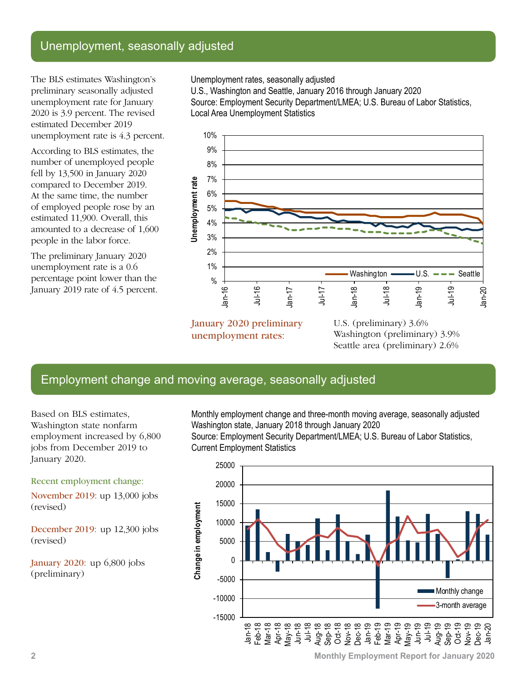## Unemployment, seasonally adjusted

The BLS estimates Washington's preliminary seasonally adjusted unemployment rate for January 2020 is 3.9 percent. The revised estimated December 2019 unemployment rate is 4.3 percent.

According to BLS estimates, the number of unemployed people fell by 13,500 in January 2020 compared to December 2019. At the same time, the number of employed people rose by an estimated 11,900. Overall, this amounted to a decrease of 1,600 people in the labor force.

The preliminary January 2020 unemployment rate is a 0.6 percentage point lower than the January 2019 rate of 4.5 percent. Unemployment rates, seasonally adjusted

U.S., Washington and Seattle, January 2016 through January 2020 Source: Employment Security Department/LMEA; U.S. Bureau of Labor Statistics, Local Area Unemployment Statistics



January 2020 preliminary unemployment rates:

U.S. (preliminary) 3.6% Washington (preliminary) 3.9% Seattle area (preliminary) 2.6%

## Employment change and moving average, seasonally adjusted

Based on BLS estimates, Washington state nonfarm employment increased by 6,800 jobs from December 2019 to January 2020.

Recent employment change:

November 2019: up 13,000 jobs (revised)

December 2019: up 12,300 jobs (revised)

January 2020: up 6,800 jobs (preliminary)

Monthly employment change and three-month moving average, seasonally adjusted Washington state, January 2018 through January 2020

Source: Employment Security Department/LMEA; U.S. Bureau of Labor Statistics, Current Employment Statistics



**2 Monthly Employment Report for January 2020**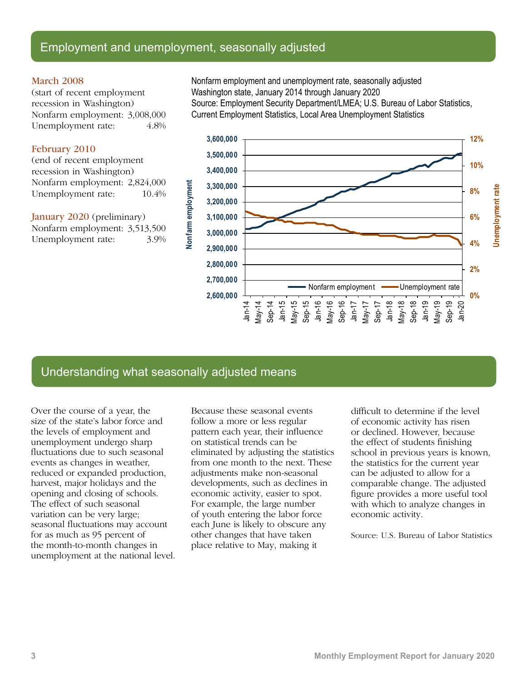### Employment and unemployment, seasonally adjusted

#### March 2008

(start of recent employment recession in Washington) Nonfarm employment: 3,008,000 Unemployment rate: 4.8%

#### February 2010

(end of recent employment recession in Washington) Nonfarm employment: 2,824,000 Unemployment rate:  $10.4\%$ 

January 2020 (preliminary) Nonfarm employment: 3,513,500 Unemployment rate: 3.9% Nonfarm employment and unemployment rate, seasonally adjusted Washington state, January 2014 through January 2020 Source: Employment Security Department/LMEA; U.S. Bureau of Labor Statistics, Current Employment Statistics, Local Area Unemployment Statistics



## Understanding what seasonally adjusted means

Over the course of a year, the size of the state's labor force and the levels of employment and unemployment undergo sharp fluctuations due to such seasonal events as changes in weather, reduced or expanded production, harvest, major holidays and the opening and closing of schools. The effect of such seasonal variation can be very large; seasonal fluctuations may account for as much as 95 percent of the month-to-month changes in unemployment at the national level. Because these seasonal events follow a more or less regular pattern each year, their influence on statistical trends can be eliminated by adjusting the statistics from one month to the next. These adjustments make non-seasonal developments, such as declines in economic activity, easier to spot. For example, the large number of youth entering the labor force each June is likely to obscure any other changes that have taken place relative to May, making it

difficult to determine if the level of economic activity has risen or declined. However, because the effect of students finishing school in previous years is known, the statistics for the current year can be adjusted to allow for a comparable change. The adjusted figure provides a more useful tool with which to analyze changes in economic activity.

Source: U.S. Bureau of Labor Statistics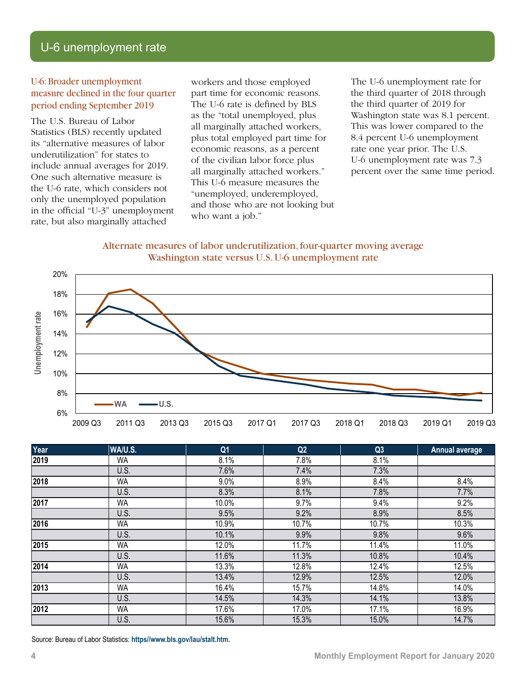## U-6 unemployment rate

#### U-6: Broader unemployment measure declined in the four quarter period ending September 2019

The U.S. Bureau of Labor Statistics (BLS) recently updated its "alternative measures of labor underutilization" for states to include annual averages for 2019. One such alternative measure is the U-6 rate, which considers not only the unemployed population in the official "U-3" unemployment rate, but also marginally attached

workers and those employed part time for economic reasons. The U-6 rate is defined by BLS as the "total unemployed, plus all marginally attached workers, plus total employed part time for economic reasons, as a percent of the civilian labor force plus all marginally attached workers." This U-6 measure measures the "unemployed, underemployed, and those who are not looking but who want a job."

The U-6 unemployment rate for the third quarter of 2018 through the third quarter of 2019 for Washington state was 8.1 percent. This was lower compared to the 8.4 percent U-6 unemployment rate one year prior. The U.S. U-6 unemployment rate was 7.3 percent over the same time period.

#### Alternate measures of labor underutilization, four-quarter moving average Washington state versus U.S. U-6 unemployment rate



| Year | WA/U.S.   | Q <sub>1</sub> | Q2    | Q3    | <b>Annual average</b> |
|------|-----------|----------------|-------|-------|-----------------------|
| 2019 | <b>WA</b> | 8.1%           | 7.8%  | 8.1%  |                       |
|      | U.S.      | 7.6%           | 7.4%  | 7.3%  |                       |
| 2018 | <b>WA</b> | 9.0%           | 8.9%  | 8.4%  | 8.4%                  |
|      | U.S.      | 8.3%           | 8.1%  | 7.8%  | 7.7%                  |
| 2017 | WA        | 10.0%          | 9.7%  | 9.4%  | 9.2%                  |
|      | U.S.      | 9.5%           | 9.2%  | 8.9%  | 8.5%                  |
| 2016 | WA        | 10.9%          | 10.7% | 10.7% | 10.3%                 |
|      | U.S.      | 10.1%          | 9.9%  | 9.8%  | 9.6%                  |
| 2015 | <b>WA</b> | 12.0%          | 11.7% | 11.4% | 11.0%                 |
|      | U.S.      | 11.6%          | 11.3% | 10.8% | 10.4%                 |
| 2014 | WA        | 13.3%          | 12.8% | 12.4% | 12.5%                 |
|      | U.S.      | 13.4%          | 12.9% | 12.5% | 12.0%                 |
| 2013 | <b>WA</b> | 16.4%          | 15.7% | 14.8% | 14.0%                 |
|      | U.S.      | 14.5%          | 14.3% | 14.1% | 13.8%                 |
| 2012 | WA        | 17.6%          | 17.0% | 17.1% | 16.9%                 |
|      | U.S.      | 15.6%          | 15.3% | 15.0% | 14.7%                 |

Source: Bureau of Labor Statistics: **[https//www.bls.gov/lau/stalt.htm](https://www.bls.gov/lau/stalt.htm).**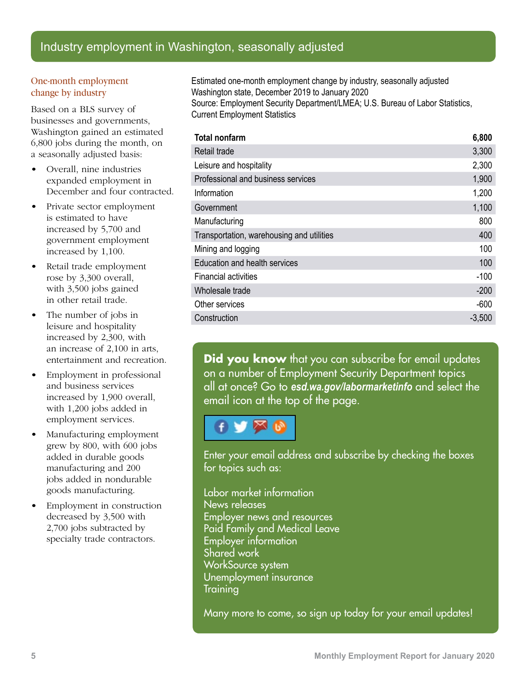## Industry employment in Washington, seasonally adjusted

#### One-month employment change by industry

Based on a BLS survey of businesses and governments, Washington gained an estimated 6,800 jobs during the month, on a seasonally adjusted basis:

- Overall, nine industries expanded employment in December and four contracted.
- Private sector employment is estimated to have increased by 5,700 and government employment increased by 1,100.
- Retail trade employment rose by 3,300 overall, with 3,500 jobs gained in other retail trade.
- The number of jobs in leisure and hospitality increased by 2,300, with an increase of 2,100 in arts, entertainment and recreation.
- Employment in professional and business services increased by 1,900 overall, with 1,200 jobs added in employment services.
- Manufacturing employment grew by 800, with 600 jobs added in durable goods manufacturing and 200 jobs added in nondurable goods manufacturing.
- Employment in construction decreased by 3,500 with 2,700 jobs subtracted by specialty trade contractors.

Estimated one-month employment change by industry, seasonally adjusted Washington state, December 2019 to January 2020 Source: Employment Security Department/LMEA; U.S. Bureau of Labor Statistics, Current Employment Statistics

| <b>Total nonfarm</b>                      | 6,800    |
|-------------------------------------------|----------|
| Retail trade                              | 3,300    |
| Leisure and hospitality                   | 2,300    |
| Professional and business services        | 1,900    |
| Information                               | 1,200    |
| Government                                | 1,100    |
| Manufacturing                             | 800      |
| Transportation, warehousing and utilities | 400      |
| Mining and logging                        | 100      |
| Education and health services             | 100      |
| <b>Financial activities</b>               | $-100$   |
| Wholesale trade                           | $-200$   |
| Other services                            | $-600$   |
| Construction                              | $-3,500$ |

**Did you know** that you can subscribe for email updates on a number of Employment Security Department topics all at once? Go to *[esd.wa.gov/labormarketinfo](http://esd.wa.gov/labormarketinfo)* and select the email icon at the top of the page.

Enter your email address and subscribe by checking the boxes for topics such as:

Labor market information News releases Employer news and resources Paid Family and Medical Leave Employer information Shared work WorkSource system Unemployment insurance **Training** 

Many more to come, so sign up today for your email updates!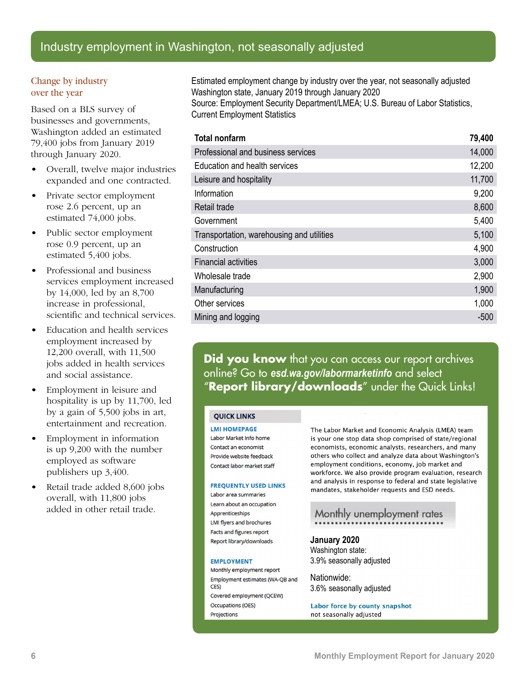## Industry employment in Washington, not seasonally adjusted

#### Change by industry over the year

Based on a BLS survey of businesses and governments, Washington added an estimated 79,400 jobs from January 2019 through January 2020.

- Overall, twelve major industries expanded and one contracted.
- Private sector employment rose 2.6 percent, up an estimated 74,000 jobs.
- Public sector employment rose 0.9 percent, up an estimated 5,400 jobs.
- Professional and business services employment increased by 14,000, led by an 8,700 increase in professional, scientific and technical services.
- Education and health services employment increased by 12,200 overall, with 11,500 jobs added in health services and social assistance.
- Employment in leisure and hospitality is up by 11,700, led by a gain of 5,500 jobs in art, entertainment and recreation.
- Employment in information is up 9,200 with the number employed as software publishers up 3,400.
- Retail trade added 8,600 jobs overall, with 11,800 jobs added in other retail trade.

Estimated employment change by industry over the year, not seasonally adjusted Washington state, January 2019 through January 2020 Source: Employment Security Department/LMEA; U.S. Bureau of Labor Statistics, Current Employment Statistics

| <b>Total nonfarm</b>                      | 79,400 |
|-------------------------------------------|--------|
| Professional and business services        | 14,000 |
| Education and health services             | 12,200 |
| Leisure and hospitality                   | 11,700 |
| Information                               | 9,200  |
| Retail trade                              | 8,600  |
| Government                                | 5,400  |
| Transportation, warehousing and utilities | 5,100  |
| Construction                              | 4,900  |
| <b>Financial activities</b>               | 3,000  |
| Wholesale trade                           | 2,900  |
| Manufacturing                             | 1,900  |
| Other services                            | 1,000  |
| Mining and logging                        | -500   |

**Did you know** that you can access our report archives online? Go to *esd.wa.gov/labormarketinfo* and select "**Report library/downloads**" under the Quick Links!

#### **OUICK LINKS**

**LMI HOMEPAGE** 

Labor Market Info home Contact an economist Provide website feedback Contact labor market staff

#### **FREQUENTLY USED LINKS**

Labor area summaries Learn about an occupation Apprenticeships LMI flyers and brochures Facts and figures report Report library/downloads

#### **EMPLOYMENT**

Monthly employment report Employment estimates (WA-QB and **CES** Covered employment (QCEW) **Occupations (OES)** Projections

The Labor Market and Economic Analysis (LMEA) team is your one stop data shop comprised of state/regional economists, economic analysts, researchers, and many others who collect and analyze data about Washington's employment conditions, economy, job market and workforce. We also provide program evaluation, research and analysis in response to federal and state legislative mandates, stakeholder requests and ESD needs.

## Monthly unemployment rates

**January 2020** Washington state: 3.9% seasonally adjusted

Nationwide: 3.6% seasonally adjusted

Labor force by county snapshot not seasonally adjusted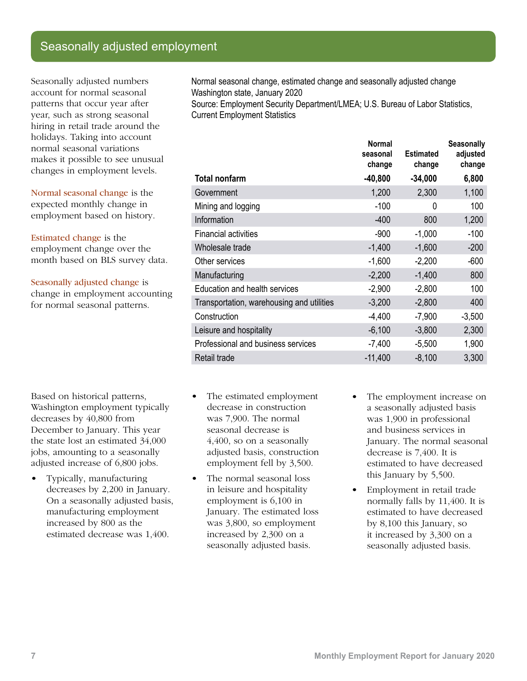## Seasonally adjusted employment

Seasonally adjusted numbers account for normal seasonal patterns that occur year after year, such as strong seasonal hiring in retail trade around the holidays. Taking into account normal seasonal variations makes it possible to see unusual changes in employment levels.

Normal seasonal change is the expected monthly change in employment based on history.

Estimated change is the employment change over the month based on BLS survey data.

Seasonally adjusted change is

change in employment accounting for normal seasonal patterns.

Based on historical patterns, Washington employment typically decreases by 40,800 from December to January. This year the state lost an estimated 34,000 jobs, amounting to a seasonally adjusted increase of 6,800 jobs.

• Typically, manufacturing decreases by 2,200 in January. On a seasonally adjusted basis, manufacturing employment increased by 800 as the estimated decrease was 1,400.

Normal seasonal change, estimated change and seasonally adjusted change Washington state, January 2020

Source: Employment Security Department/LMEA; U.S. Bureau of Labor Statistics, Current Employment Statistics

|                                           | <b>Normal</b><br>seasonal<br>change | <b>Estimated</b><br>change | <b>Seasonally</b><br>adjusted<br>change |
|-------------------------------------------|-------------------------------------|----------------------------|-----------------------------------------|
| <b>Total nonfarm</b>                      | $-40,800$                           | $-34,000$                  | 6,800                                   |
| Government                                | 1,200                               | 2,300                      | 1,100                                   |
| Mining and logging                        | $-100$                              | 0                          | 100                                     |
| Information                               | $-400$                              | 800                        | 1,200                                   |
| <b>Financial activities</b>               | $-900$                              | $-1,000$                   | $-100$                                  |
| Wholesale trade                           | $-1,400$                            | $-1,600$                   | $-200$                                  |
| Other services                            | $-1,600$                            | $-2,200$                   | $-600$                                  |
| Manufacturing                             | $-2,200$                            | $-1,400$                   | 800                                     |
| Education and health services             | $-2,900$                            | $-2,800$                   | 100                                     |
| Transportation, warehousing and utilities | $-3,200$                            | $-2,800$                   | 400                                     |
| Construction                              | $-4,400$                            | $-7,900$                   | $-3,500$                                |
| Leisure and hospitality                   | $-6,100$                            | $-3,800$                   | 2,300                                   |
| Professional and business services        | $-7,400$                            | $-5,500$                   | 1,900                                   |
| Retail trade                              | $-11,400$                           | $-8,100$                   | 3,300                                   |

- The estimated employment decrease in construction was 7,900. The normal seasonal decrease is 4,400, so on a seasonally adjusted basis, construction employment fell by 3,500.
- The normal seasonal loss in leisure and hospitality employment is 6,100 in January. The estimated loss was 3,800, so employment increased by 2,300 on a seasonally adjusted basis.
- The employment increase on a seasonally adjusted basis was 1,900 in professional and business services in January. The normal seasonal decrease is 7,400. It is estimated to have decreased this January by 5,500.
- Employment in retail trade normally falls by 11,400. It is estimated to have decreased by 8,100 this January, so it increased by 3,300 on a seasonally adjusted basis.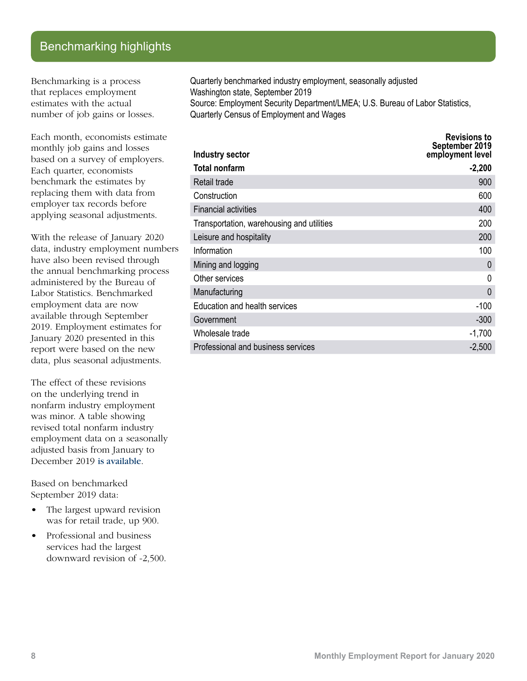## Benchmarking highlights

Benchmarking is a process that replaces employment estimates with the actual number of job gains or losses.

Each month, economists estimate monthly job gains and losses based on a survey of employers. Each quarter, economists benchmark the estimates by replacing them with data from employer tax records before applying seasonal adjustments.

With the release of January 2020 data, industry employment numbers have also been revised through the annual benchmarking process administered by the Bureau of Labor Statistics. Benchmarked employment data are now available through September 2019. Employment estimates for January 2020 presented in this report were based on the new data, plus seasonal adjustments.

The effect of these revisions on the underlying trend in nonfarm industry employment was minor. A table showing revised total nonfarm industry employment data on a seasonally adjusted basis from January to December 2019 [is available](https://esdorchardstorage.blob.core.windows.net/esdwa/Default/ESDWAGOV/labor-market-info/Libraries/Economic-reports/MER/2016%20Benchmark%20revisions.xlsx).

Based on benchmarked September 2019 data:

- The largest upward revision was for retail trade, up 900.
- Professional and business services had the largest downward revision of -2,500.

Quarterly benchmarked industry employment, seasonally adjusted Washington state, September 2019 Source: Employment Security Department/LMEA; U.S. Bureau of Labor Statistics, Quarterly Census of Employment and Wages

| Industry sector                           | <b>Revisions to</b><br>September 2019<br>employment level |
|-------------------------------------------|-----------------------------------------------------------|
| Total nonfarm                             | $-2,200$                                                  |
| Retail trade                              | 900                                                       |
| Construction                              | 600                                                       |
| <b>Financial activities</b>               | 400                                                       |
| Transportation, warehousing and utilities | 200                                                       |
| Leisure and hospitality                   | 200                                                       |
| Information                               | 100                                                       |
| Mining and logging                        | $\Omega$                                                  |
| Other services                            | 0                                                         |
| Manufacturing                             | 0                                                         |
| <b>Education and health services</b>      | $-100$                                                    |
| Government                                | $-300$                                                    |
| Wholesale trade                           | $-1,700$                                                  |
| Professional and business services        | $-2,500$                                                  |